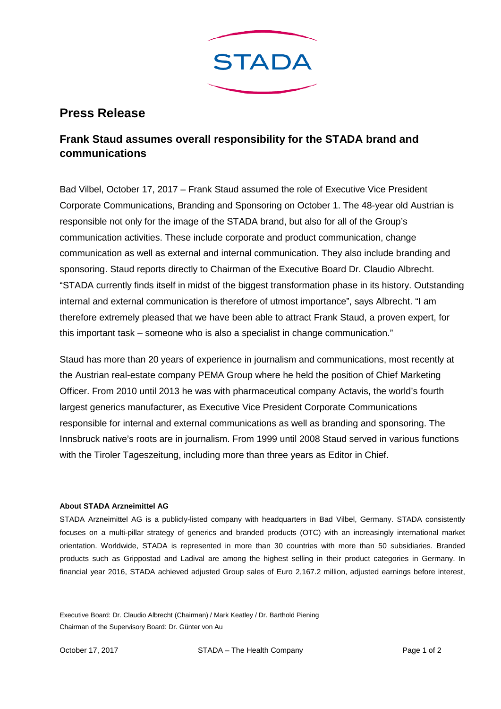

## **Press Release**

## **Frank Staud assumes overall responsibility for the STADA brand and communications**

Bad Vilbel, October 17, 2017 – Frank Staud assumed the role of Executive Vice President Corporate Communications, Branding and Sponsoring on October 1. The 48-year old Austrian is responsible not only for the image of the STADA brand, but also for all of the Group's communication activities. These include corporate and product communication, change communication as well as external and internal communication. They also include branding and sponsoring. Staud reports directly to Chairman of the Executive Board Dr. Claudio Albrecht. "STADA currently finds itself in midst of the biggest transformation phase in its history. Outstanding internal and external communication is therefore of utmost importance", says Albrecht. "I am therefore extremely pleased that we have been able to attract Frank Staud, a proven expert, for this important task – someone who is also a specialist in change communication."

Staud has more than 20 years of experience in journalism and communications, most recently at the Austrian real-estate company PEMA Group where he held the position of Chief Marketing Officer. From 2010 until 2013 he was with pharmaceutical company Actavis, the world's fourth largest generics manufacturer, as Executive Vice President Corporate Communications responsible for internal and external communications as well as branding and sponsoring. The Innsbruck native's roots are in journalism. From 1999 until 2008 Staud served in various functions with the Tiroler Tageszeitung, including more than three years as Editor in Chief.

## **About STADA Arzneimittel AG**

STADA Arzneimittel AG is a publicly-listed company with headquarters in Bad Vilbel, Germany. STADA consistently focuses on a multi-pillar strategy of generics and branded products (OTC) with an increasingly international market orientation. Worldwide, STADA is represented in more than 30 countries with more than 50 subsidiaries. Branded products such as Grippostad and Ladival are among the highest selling in their product categories in Germany. In financial year 2016, STADA achieved adjusted Group sales of Euro 2,167.2 million, adjusted earnings before interest,

Executive Board: Dr. Claudio Albrecht (Chairman) / Mark Keatley / Dr. Barthold Piening Chairman of the Supervisory Board: Dr. Günter von Au